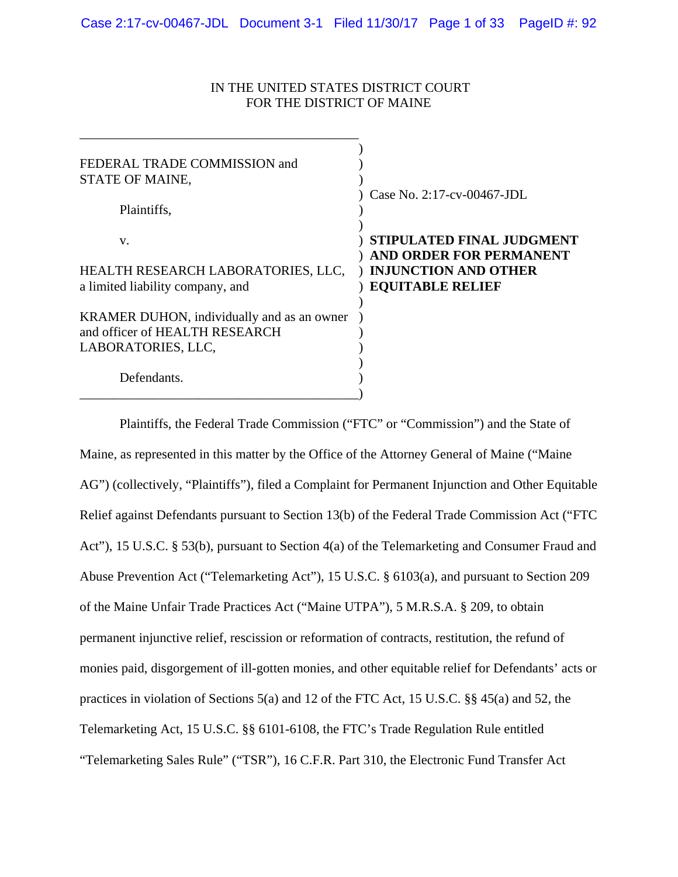# IN THE UNITED STATES DISTRICT COURT FOR THE DISTRICT OF MAINE

| FEDERAL TRADE COMMISSION and<br>STATE OF MAINE,<br>Plaintiffs,                                     | Case No. $2:17$ -cv-00467-JDL                                                                                  |
|----------------------------------------------------------------------------------------------------|----------------------------------------------------------------------------------------------------------------|
| V.<br>HEALTH RESEARCH LABORATORIES, LLC,<br>a limited liability company, and                       | STIPULATED FINAL JUDGMENT<br>AND ORDER FOR PERMANENT<br><b>INJUNCTION AND OTHER</b><br><b>EQUITABLE RELIEF</b> |
| KRAMER DUHON, individually and as an owner<br>and officer of HEALTH RESEARCH<br>LABORATORIES, LLC, |                                                                                                                |
| Defendants.                                                                                        |                                                                                                                |

Plaintiffs, the Federal Trade Commission ("FTC" or "Commission") and the State of Maine, as represented in this matter by the Office of the Attorney General of Maine ("Maine AG") (collectively, "Plaintiffs"), filed a Complaint for Permanent Injunction and Other Equitable Relief against Defendants pursuant to Section 13(b) of the Federal Trade Commission Act ("FTC Act"), 15 U.S.C. § 53(b), pursuant to Section 4(a) of the Telemarketing and Consumer Fraud and Abuse Prevention Act ("Telemarketing Act"), 15 U.S.C. § 6103(a), and pursuant to Section 209 of the Maine Unfair Trade Practices Act ("Maine UTPA"), 5 M.R.S.A. § 209, to obtain permanent injunctive relief, rescission or reformation of contracts, restitution, the refund of monies paid, disgorgement of ill-gotten monies, and other equitable relief for Defendants' acts or practices in violation of Sections 5(a) and 12 of the FTC Act, 15 U.S.C. §§ 45(a) and 52, the Telemarketing Act, 15 U.S.C. §§ 6101-6108, the FTC's Trade Regulation Rule entitled "Telemarketing Sales Rule" ("TSR"), 16 C.F.R. Part 310, the Electronic Fund Transfer Act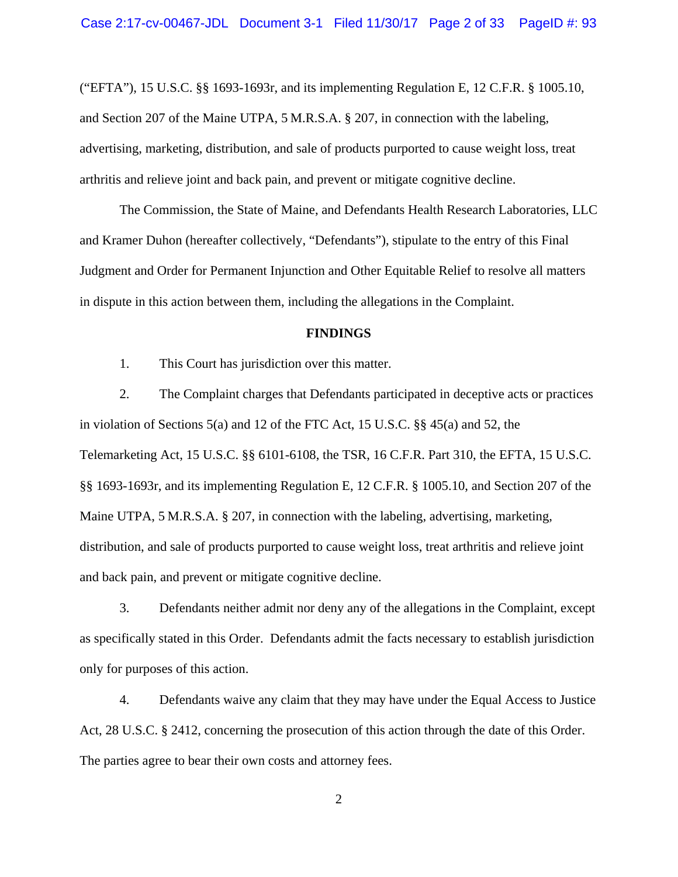("EFTA"), 15 U.S.C. §§ 1693-1693r, and its implementing Regulation E, 12 C.F.R. § 1005.10, and Section 207 of the Maine UTPA, 5 M.R.S.A. § 207, in connection with the labeling, advertising, marketing, distribution, and sale of products purported to cause weight loss, treat arthritis and relieve joint and back pain, and prevent or mitigate cognitive decline.

The Commission, the State of Maine, and Defendants Health Research Laboratories, LLC and Kramer Duhon (hereafter collectively, "Defendants"), stipulate to the entry of this Final Judgment and Order for Permanent Injunction and Other Equitable Relief to resolve all matters in dispute in this action between them, including the allegations in the Complaint.

#### **FINDINGS**

1. This Court has jurisdiction over this matter.

2. The Complaint charges that Defendants participated in deceptive acts or practices in violation of Sections 5(a) and 12 of the FTC Act, 15 U.S.C. §§ 45(a) and 52, the Telemarketing Act, 15 U.S.C. §§ 6101-6108, the TSR, 16 C.F.R. Part 310, the EFTA, 15 U.S.C. §§ 1693-1693r, and its implementing Regulation E, 12 C.F.R. § 1005.10, and Section 207 of the Maine UTPA, 5 M.R.S.A. § 207, in connection with the labeling, advertising, marketing, distribution, and sale of products purported to cause weight loss, treat arthritis and relieve joint and back pain, and prevent or mitigate cognitive decline.

3. Defendants neither admit nor deny any of the allegations in the Complaint, except as specifically stated in this Order. Defendants admit the facts necessary to establish jurisdiction only for purposes of this action.

4. Defendants waive any claim that they may have under the Equal Access to Justice Act, 28 U.S.C. § 2412, concerning the prosecution of this action through the date of this Order. The parties agree to bear their own costs and attorney fees.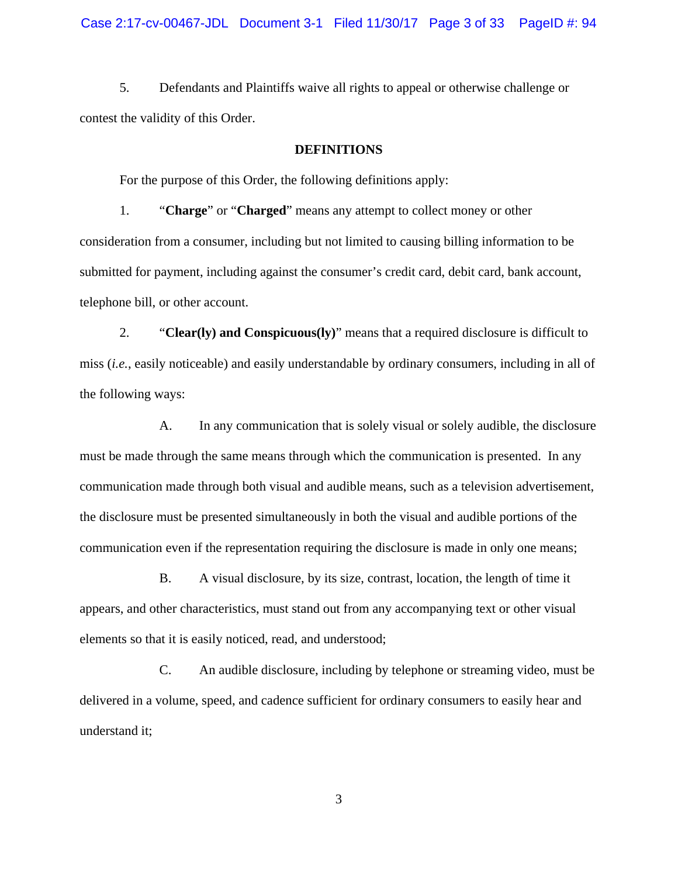5. Defendants and Plaintiffs waive all rights to appeal or otherwise challenge or contest the validity of this Order.

#### **DEFINITIONS**

For the purpose of this Order, the following definitions apply:

1. "**Charge**" or "**Charged**" means any attempt to collect money or other consideration from a consumer, including but not limited to causing billing information to be submitted for payment, including against the consumer's credit card, debit card, bank account, telephone bill, or other account.

2. "**Clear(ly) and Conspicuous(ly)**" means that a required disclosure is difficult to miss (*i.e.*, easily noticeable) and easily understandable by ordinary consumers, including in all of the following ways:

A. In any communication that is solely visual or solely audible, the disclosure must be made through the same means through which the communication is presented. In any communication made through both visual and audible means, such as a television advertisement, the disclosure must be presented simultaneously in both the visual and audible portions of the communication even if the representation requiring the disclosure is made in only one means;

B. A visual disclosure, by its size, contrast, location, the length of time it appears, and other characteristics, must stand out from any accompanying text or other visual elements so that it is easily noticed, read, and understood;

C. An audible disclosure, including by telephone or streaming video, must be delivered in a volume, speed, and cadence sufficient for ordinary consumers to easily hear and understand it;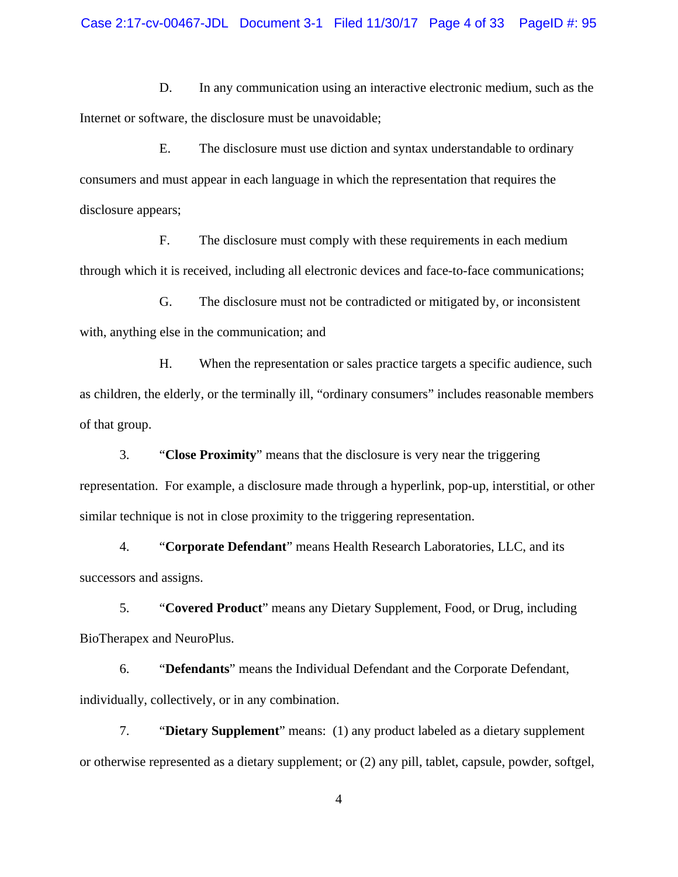D. In any communication using an interactive electronic medium, such as the Internet or software, the disclosure must be unavoidable;

E. The disclosure must use diction and syntax understandable to ordinary consumers and must appear in each language in which the representation that requires the disclosure appears;

F. The disclosure must comply with these requirements in each medium through which it is received, including all electronic devices and face-to-face communications;

G. The disclosure must not be contradicted or mitigated by, or inconsistent with, anything else in the communication; and

H. When the representation or sales practice targets a specific audience, such as children, the elderly, or the terminally ill, "ordinary consumers" includes reasonable members of that group.

3. "**Close Proximity**" means that the disclosure is very near the triggering representation. For example, a disclosure made through a hyperlink, pop-up, interstitial, or other similar technique is not in close proximity to the triggering representation.

4. "**Corporate Defendant**" means Health Research Laboratories, LLC, and its successors and assigns.

 5. "**Covered Product**" means any Dietary Supplement, Food, or Drug, including BioTherapex and NeuroPlus.

6. "**Defendants**" means the Individual Defendant and the Corporate Defendant, individually, collectively, or in any combination.

7. "**Dietary Supplement**" means: (1) any product labeled as a dietary supplement or otherwise represented as a dietary supplement; or (2) any pill, tablet, capsule, powder, softgel,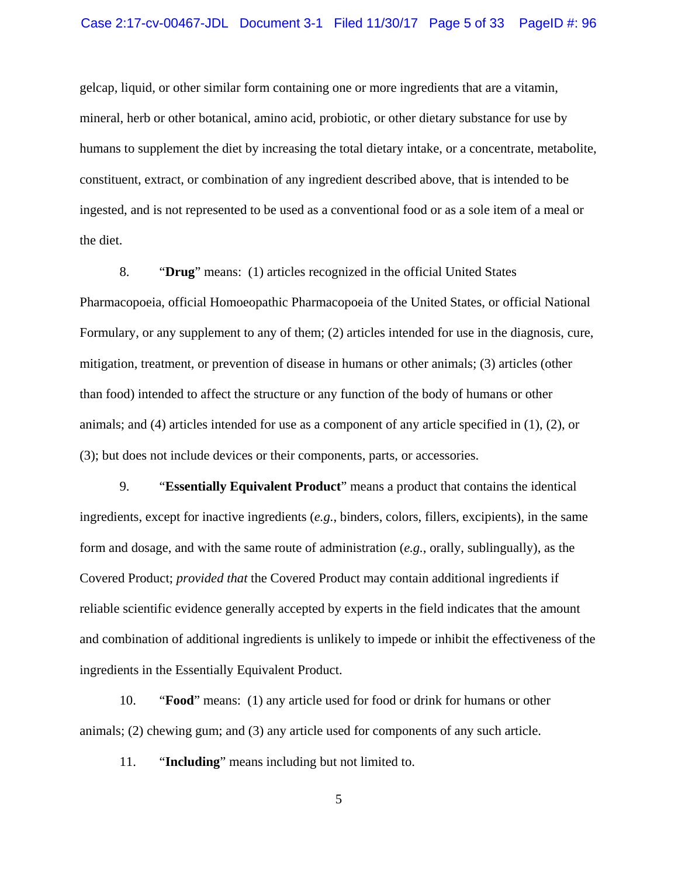gelcap, liquid, or other similar form containing one or more ingredients that are a vitamin, mineral, herb or other botanical, amino acid, probiotic, or other dietary substance for use by humans to supplement the diet by increasing the total dietary intake, or a concentrate, metabolite, constituent, extract, or combination of any ingredient described above, that is intended to be ingested, and is not represented to be used as a conventional food or as a sole item of a meal or the diet.

8. "**Drug**" means: (1) articles recognized in the official United States Pharmacopoeia, official Homoeopathic Pharmacopoeia of the United States, or official National Formulary, or any supplement to any of them; (2) articles intended for use in the diagnosis, cure, mitigation, treatment, or prevention of disease in humans or other animals; (3) articles (other than food) intended to affect the structure or any function of the body of humans or other animals; and (4) articles intended for use as a component of any article specified in (1), (2), or (3); but does not include devices or their components, parts, or accessories.

 9. "**Essentially Equivalent Product**" means a product that contains the identical ingredients, except for inactive ingredients (*e.g.*, binders, colors, fillers, excipients), in the same form and dosage, and with the same route of administration (*e.g.*, orally, sublingually), as the Covered Product; *provided that* the Covered Product may contain additional ingredients if reliable scientific evidence generally accepted by experts in the field indicates that the amount and combination of additional ingredients is unlikely to impede or inhibit the effectiveness of the ingredients in the Essentially Equivalent Product.

10. "**Food**" means: (1) any article used for food or drink for humans or other animals; (2) chewing gum; and (3) any article used for components of any such article.

11. "**Including**" means including but not limited to.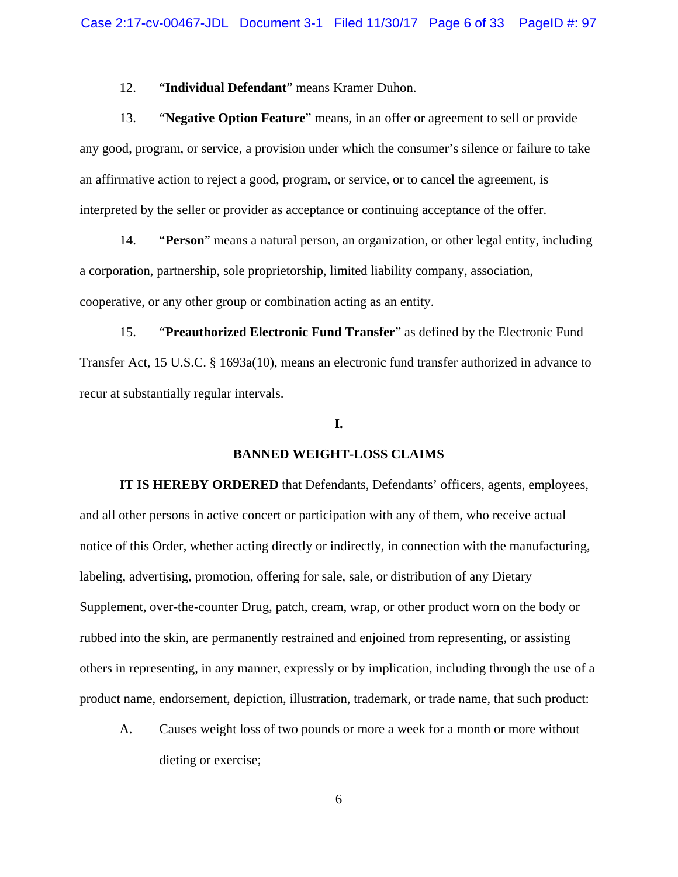# 12. "**Individual Defendant**" means Kramer Duhon.

13. "**Negative Option Feature**" means, in an offer or agreement to sell or provide any good, program, or service, a provision under which the consumer's silence or failure to take an affirmative action to reject a good, program, or service, or to cancel the agreement, is interpreted by the seller or provider as acceptance or continuing acceptance of the offer.

 14. "**Person**" means a natural person, an organization, or other legal entity, including a corporation, partnership, sole proprietorship, limited liability company, association, cooperative, or any other group or combination acting as an entity.

 15. "**Preauthorized Electronic Fund Transfer**" as defined by the Electronic Fund Transfer Act, 15 U.S.C. § 1693a(10), means an electronic fund transfer authorized in advance to recur at substantially regular intervals.

#### **I.**

## **BANNED WEIGHT-LOSS CLAIMS**

**IT IS HEREBY ORDERED** that Defendants, Defendants' officers, agents, employees, and all other persons in active concert or participation with any of them, who receive actual notice of this Order, whether acting directly or indirectly, in connection with the manufacturing, labeling, advertising, promotion, offering for sale, sale, or distribution of any Dietary Supplement, over-the-counter Drug, patch, cream, wrap, or other product worn on the body or rubbed into the skin, are permanently restrained and enjoined from representing, or assisting others in representing, in any manner, expressly or by implication, including through the use of a product name, endorsement, depiction, illustration, trademark, or trade name, that such product:

A. Causes weight loss of two pounds or more a week for a month or more without dieting or exercise;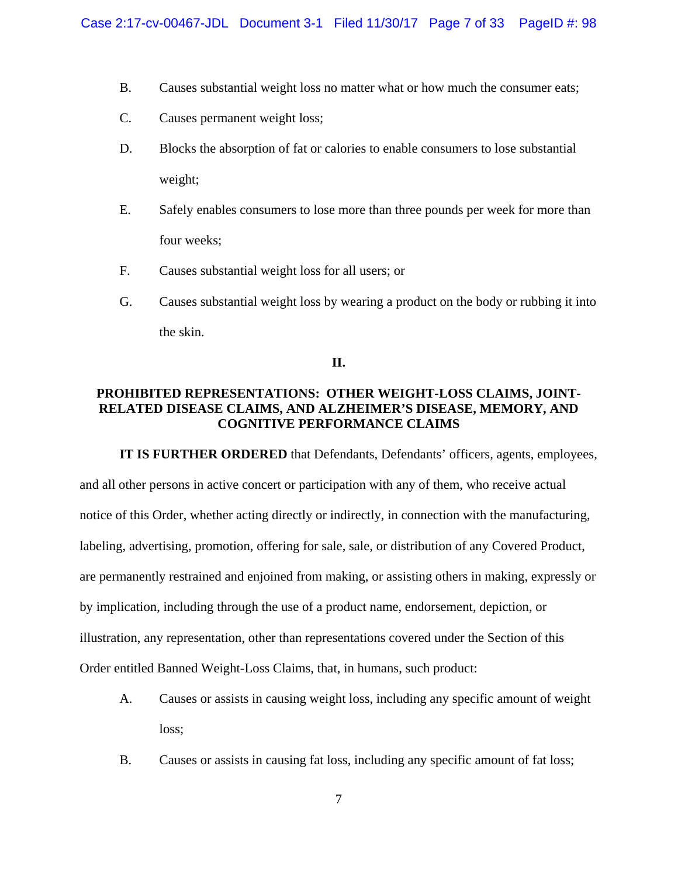- B. Causes substantial weight loss no matter what or how much the consumer eats;
- C. Causes permanent weight loss;
- D. Blocks the absorption of fat or calories to enable consumers to lose substantial weight;
- E. Safely enables consumers to lose more than three pounds per week for more than four weeks;
- F. Causes substantial weight loss for all users; or
- G. Causes substantial weight loss by wearing a product on the body or rubbing it into the skin.

# **II.**

# **PROHIBITED REPRESENTATIONS: OTHER WEIGHT-LOSS CLAIMS, JOINT-RELATED DISEASE CLAIMS, AND ALZHEIMER'S DISEASE, MEMORY, AND COGNITIVE PERFORMANCE CLAIMS**

**IT IS FURTHER ORDERED** that Defendants, Defendants' officers, agents, employees, and all other persons in active concert or participation with any of them, who receive actual notice of this Order, whether acting directly or indirectly, in connection with the manufacturing, labeling, advertising, promotion, offering for sale, sale, or distribution of any Covered Product, are permanently restrained and enjoined from making, or assisting others in making, expressly or by implication, including through the use of a product name, endorsement, depiction, or illustration, any representation, other than representations covered under the Section of this Order entitled Banned Weight-Loss Claims, that, in humans, such product:

- A. Causes or assists in causing weight loss, including any specific amount of weight loss;
- B. Causes or assists in causing fat loss, including any specific amount of fat loss;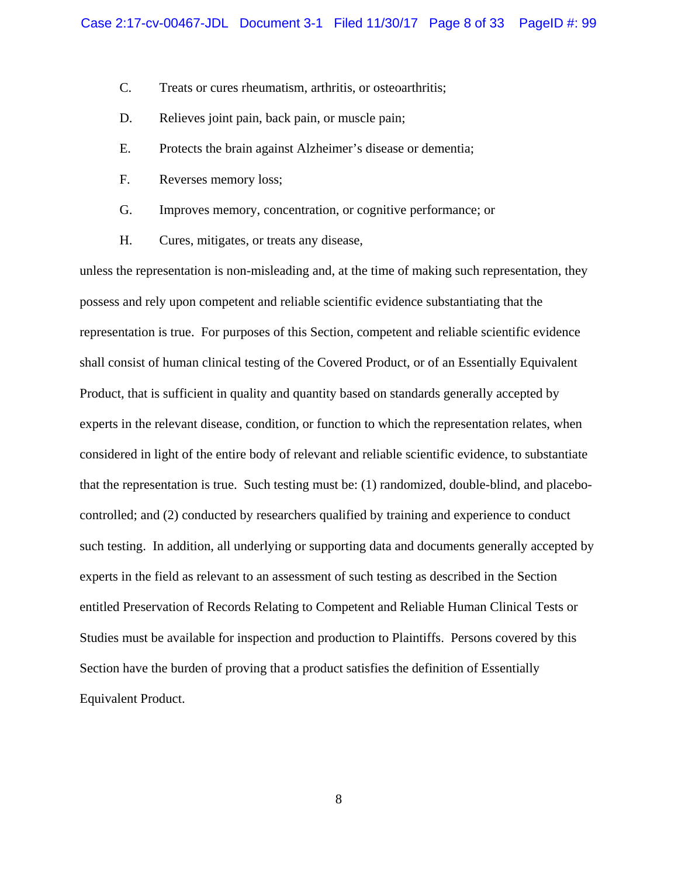- C. Treats or cures rheumatism, arthritis, or osteoarthritis;
- D. Relieves joint pain, back pain, or muscle pain;
- E. Protects the brain against Alzheimer's disease or dementia;
- F. Reverses memory loss;
- G. Improves memory, concentration, or cognitive performance; or
- H. Cures, mitigates, or treats any disease,

unless the representation is non-misleading and, at the time of making such representation, they possess and rely upon competent and reliable scientific evidence substantiating that the representation is true. For purposes of this Section, competent and reliable scientific evidence shall consist of human clinical testing of the Covered Product, or of an Essentially Equivalent Product, that is sufficient in quality and quantity based on standards generally accepted by experts in the relevant disease, condition, or function to which the representation relates, when considered in light of the entire body of relevant and reliable scientific evidence, to substantiate that the representation is true. Such testing must be: (1) randomized, double-blind, and placebocontrolled; and (2) conducted by researchers qualified by training and experience to conduct such testing. In addition, all underlying or supporting data and documents generally accepted by experts in the field as relevant to an assessment of such testing as described in the Section entitled Preservation of Records Relating to Competent and Reliable Human Clinical Tests or Studies must be available for inspection and production to Plaintiffs. Persons covered by this Section have the burden of proving that a product satisfies the definition of Essentially Equivalent Product.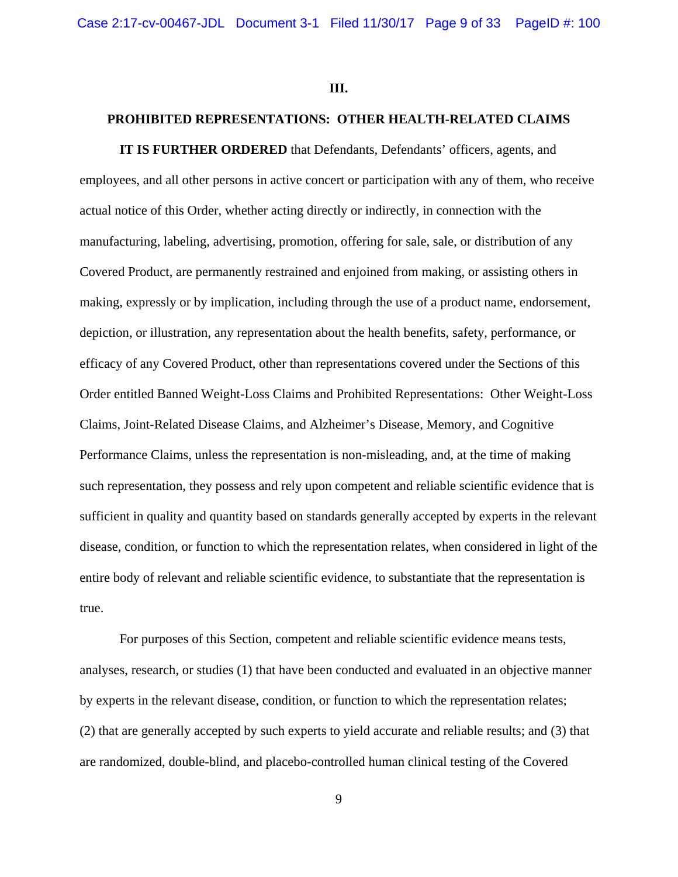**III.**

# **PROHIBITED REPRESENTATIONS: OTHER HEALTH-RELATED CLAIMS**

**IT IS FURTHER ORDERED** that Defendants, Defendants' officers, agents, and employees, and all other persons in active concert or participation with any of them, who receive actual notice of this Order, whether acting directly or indirectly, in connection with the manufacturing, labeling, advertising, promotion, offering for sale, sale, or distribution of any Covered Product, are permanently restrained and enjoined from making, or assisting others in making, expressly or by implication, including through the use of a product name, endorsement, depiction, or illustration, any representation about the health benefits, safety, performance, or efficacy of any Covered Product, other than representations covered under the Sections of this Order entitled Banned Weight-Loss Claims and Prohibited Representations: Other Weight-Loss Claims, Joint-Related Disease Claims, and Alzheimer's Disease, Memory, and Cognitive Performance Claims, unless the representation is non-misleading, and, at the time of making such representation, they possess and rely upon competent and reliable scientific evidence that is sufficient in quality and quantity based on standards generally accepted by experts in the relevant disease, condition, or function to which the representation relates, when considered in light of the entire body of relevant and reliable scientific evidence, to substantiate that the representation is true.

For purposes of this Section, competent and reliable scientific evidence means tests, analyses, research, or studies (1) that have been conducted and evaluated in an objective manner by experts in the relevant disease, condition, or function to which the representation relates; (2) that are generally accepted by such experts to yield accurate and reliable results; and (3) that are randomized, double-blind, and placebo-controlled human clinical testing of the Covered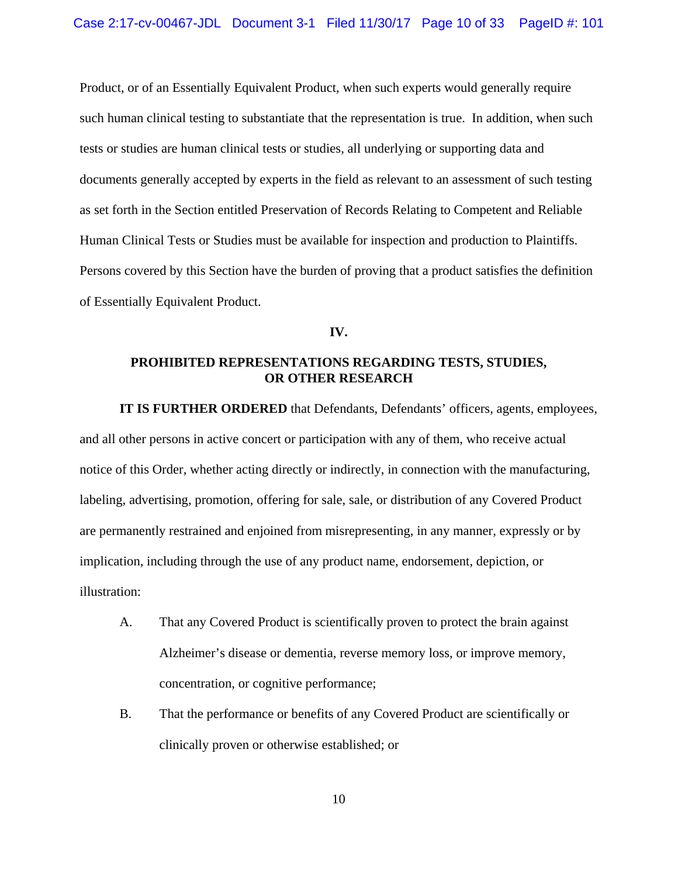Product, or of an Essentially Equivalent Product, when such experts would generally require such human clinical testing to substantiate that the representation is true. In addition, when such tests or studies are human clinical tests or studies, all underlying or supporting data and documents generally accepted by experts in the field as relevant to an assessment of such testing as set forth in the Section entitled Preservation of Records Relating to Competent and Reliable Human Clinical Tests or Studies must be available for inspection and production to Plaintiffs. Persons covered by this Section have the burden of proving that a product satisfies the definition of Essentially Equivalent Product.

#### **IV.**

# **PROHIBITED REPRESENTATIONS REGARDING TESTS, STUDIES, OR OTHER RESEARCH**

**IT IS FURTHER ORDERED** that Defendants, Defendants' officers, agents, employees, and all other persons in active concert or participation with any of them, who receive actual notice of this Order, whether acting directly or indirectly, in connection with the manufacturing, labeling, advertising, promotion, offering for sale, sale, or distribution of any Covered Product are permanently restrained and enjoined from misrepresenting, in any manner, expressly or by implication, including through the use of any product name, endorsement, depiction, or illustration:

- A. That any Covered Product is scientifically proven to protect the brain against Alzheimer's disease or dementia, reverse memory loss, or improve memory, concentration, or cognitive performance;
- B. That the performance or benefits of any Covered Product are scientifically or clinically proven or otherwise established; or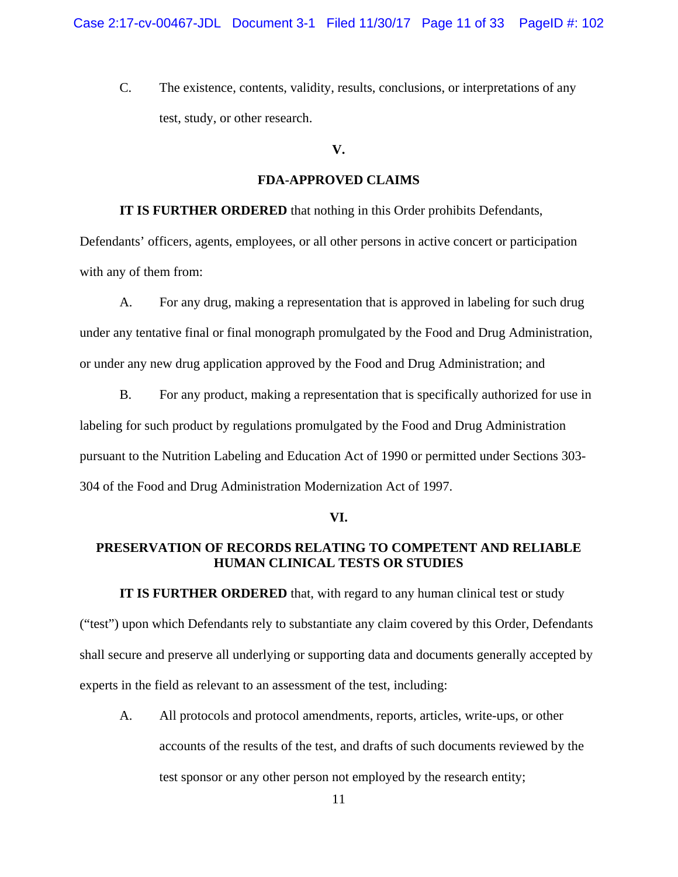C. The existence, contents, validity, results, conclusions, or interpretations of any test, study, or other research.

#### **V.**

#### **FDA-APPROVED CLAIMS**

**IT IS FURTHER ORDERED** that nothing in this Order prohibits Defendants,

Defendants' officers, agents, employees, or all other persons in active concert or participation with any of them from:

A. For any drug, making a representation that is approved in labeling for such drug under any tentative final or final monograph promulgated by the Food and Drug Administration, or under any new drug application approved by the Food and Drug Administration; and

B. For any product, making a representation that is specifically authorized for use in labeling for such product by regulations promulgated by the Food and Drug Administration pursuant to the Nutrition Labeling and Education Act of 1990 or permitted under Sections 303- 304 of the Food and Drug Administration Modernization Act of 1997.

#### **VI.**

# **PRESERVATION OF RECORDS RELATING TO COMPETENT AND RELIABLE HUMAN CLINICAL TESTS OR STUDIES**

**IT IS FURTHER ORDERED** that, with regard to any human clinical test or study ("test") upon which Defendants rely to substantiate any claim covered by this Order, Defendants shall secure and preserve all underlying or supporting data and documents generally accepted by experts in the field as relevant to an assessment of the test, including:

A. All protocols and protocol amendments, reports, articles, write-ups, or other accounts of the results of the test, and drafts of such documents reviewed by the test sponsor or any other person not employed by the research entity;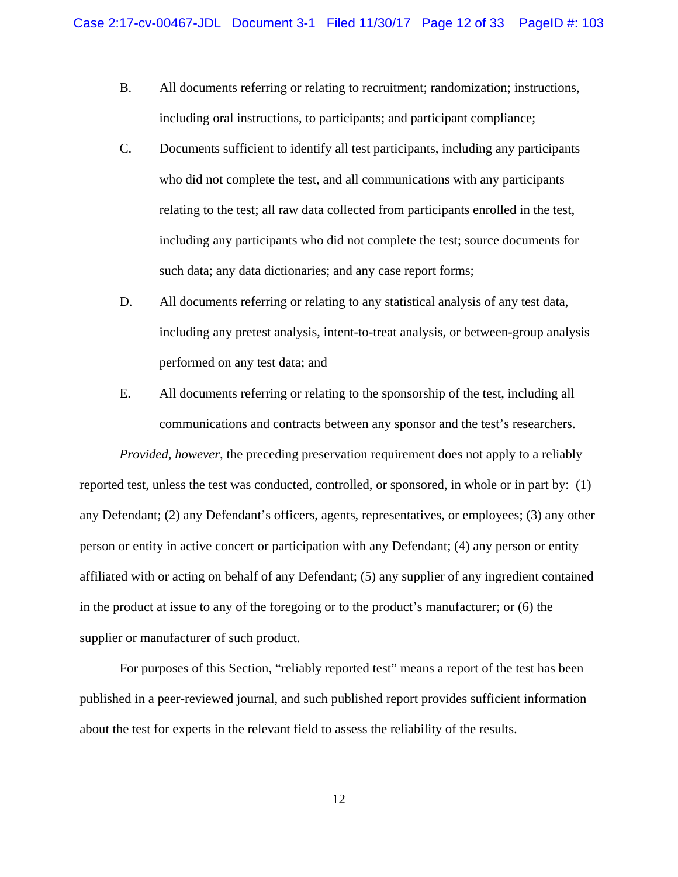- B. All documents referring or relating to recruitment; randomization; instructions, including oral instructions, to participants; and participant compliance;
- C. Documents sufficient to identify all test participants, including any participants who did not complete the test, and all communications with any participants relating to the test; all raw data collected from participants enrolled in the test, including any participants who did not complete the test; source documents for such data; any data dictionaries; and any case report forms;
- D. All documents referring or relating to any statistical analysis of any test data, including any pretest analysis, intent-to-treat analysis, or between-group analysis performed on any test data; and
- E. All documents referring or relating to the sponsorship of the test, including all communications and contracts between any sponsor and the test's researchers.

*Provided, however, the preceding preservation requirement does not apply to a reliably* reported test, unless the test was conducted, controlled, or sponsored, in whole or in part by: (1) any Defendant; (2) any Defendant's officers, agents, representatives, or employees; (3) any other person or entity in active concert or participation with any Defendant; (4) any person or entity affiliated with or acting on behalf of any Defendant; (5) any supplier of any ingredient contained in the product at issue to any of the foregoing or to the product's manufacturer; or (6) the supplier or manufacturer of such product.

For purposes of this Section, "reliably reported test" means a report of the test has been published in a peer-reviewed journal, and such published report provides sufficient information about the test for experts in the relevant field to assess the reliability of the results.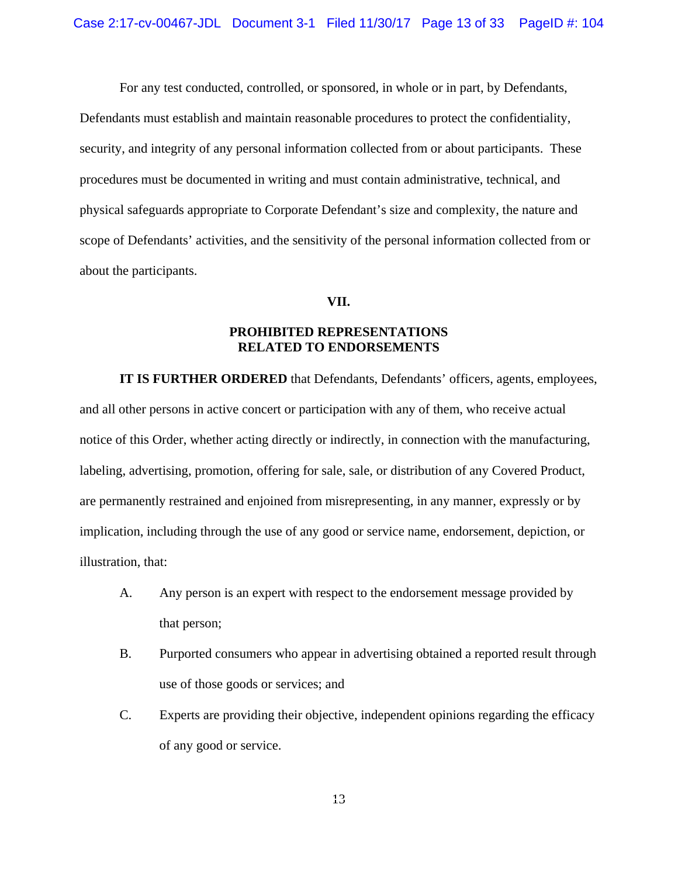For any test conducted, controlled, or sponsored, in whole or in part, by Defendants, Defendants must establish and maintain reasonable procedures to protect the confidentiality, security, and integrity of any personal information collected from or about participants. These procedures must be documented in writing and must contain administrative, technical, and physical safeguards appropriate to Corporate Defendant's size and complexity, the nature and scope of Defendants' activities, and the sensitivity of the personal information collected from or about the participants.

# **VII.**

# **PROHIBITED REPRESENTATIONS RELATED TO ENDORSEMENTS**

**IT IS FURTHER ORDERED** that Defendants, Defendants' officers, agents, employees, and all other persons in active concert or participation with any of them, who receive actual notice of this Order, whether acting directly or indirectly, in connection with the manufacturing, labeling, advertising, promotion, offering for sale, sale, or distribution of any Covered Product, are permanently restrained and enjoined from misrepresenting, in any manner, expressly or by implication, including through the use of any good or service name, endorsement, depiction, or illustration, that:

- A. Any person is an expert with respect to the endorsement message provided by that person;
- B. Purported consumers who appear in advertising obtained a reported result through use of those goods or services; and
- C. Experts are providing their objective, independent opinions regarding the efficacy of any good or service.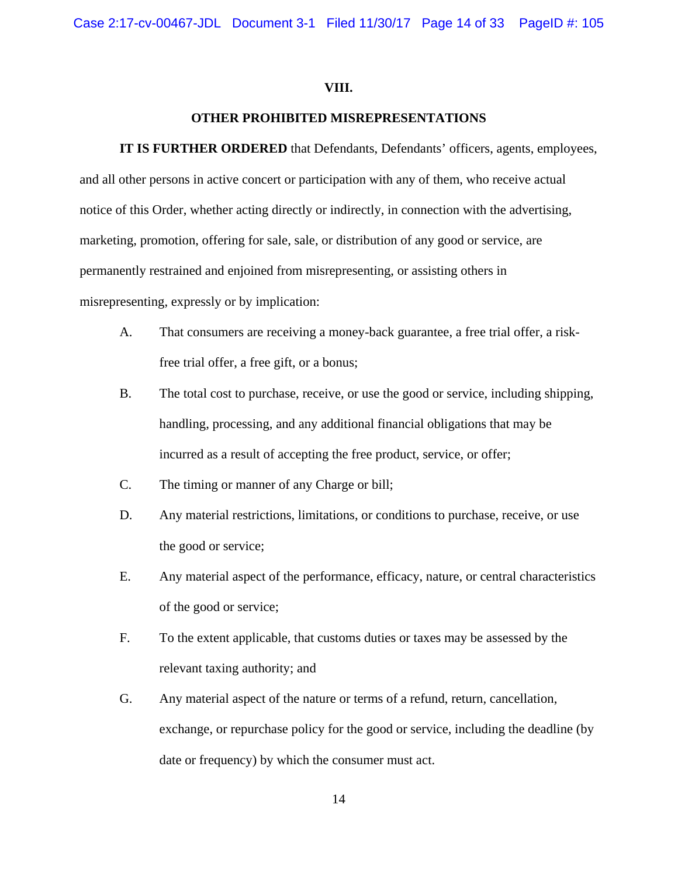# **VIII.**

# **OTHER PROHIBITED MISREPRESENTATIONS**

**IT IS FURTHER ORDERED** that Defendants, Defendants' officers, agents, employees, and all other persons in active concert or participation with any of them, who receive actual notice of this Order, whether acting directly or indirectly, in connection with the advertising, marketing, promotion, offering for sale, sale, or distribution of any good or service, are permanently restrained and enjoined from misrepresenting, or assisting others in misrepresenting, expressly or by implication:

- A. That consumers are receiving a money-back guarantee, a free trial offer, a riskfree trial offer, a free gift, or a bonus;
- B. The total cost to purchase, receive, or use the good or service, including shipping, handling, processing, and any additional financial obligations that may be incurred as a result of accepting the free product, service, or offer;
- C. The timing or manner of any Charge or bill;
- D. Any material restrictions, limitations, or conditions to purchase, receive, or use the good or service;
- E. Any material aspect of the performance, efficacy, nature, or central characteristics of the good or service;
- F. To the extent applicable, that customs duties or taxes may be assessed by the relevant taxing authority; and
- G. Any material aspect of the nature or terms of a refund, return, cancellation, exchange, or repurchase policy for the good or service, including the deadline (by date or frequency) by which the consumer must act.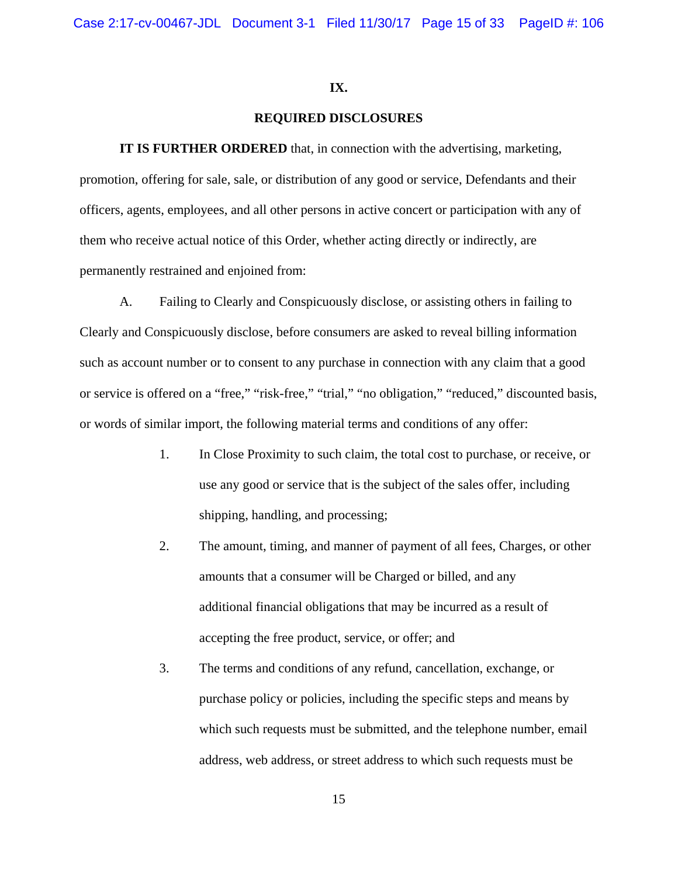#### **IX.**

## **REQUIRED DISCLOSURES**

**IT IS FURTHER ORDERED** that, in connection with the advertising, marketing, promotion, offering for sale, sale, or distribution of any good or service, Defendants and their officers, agents, employees, and all other persons in active concert or participation with any of them who receive actual notice of this Order, whether acting directly or indirectly, are permanently restrained and enjoined from:

A. Failing to Clearly and Conspicuously disclose, or assisting others in failing to Clearly and Conspicuously disclose, before consumers are asked to reveal billing information such as account number or to consent to any purchase in connection with any claim that a good or service is offered on a "free," "risk-free," "trial," "no obligation," "reduced," discounted basis, or words of similar import, the following material terms and conditions of any offer:

- 1. In Close Proximity to such claim, the total cost to purchase, or receive, or use any good or service that is the subject of the sales offer, including shipping, handling, and processing;
- 2. The amount, timing, and manner of payment of all fees, Charges, or other amounts that a consumer will be Charged or billed, and any additional financial obligations that may be incurred as a result of accepting the free product, service, or offer; and
- 3. The terms and conditions of any refund, cancellation, exchange, or purchase policy or policies, including the specific steps and means by which such requests must be submitted, and the telephone number, email address, web address, or street address to which such requests must be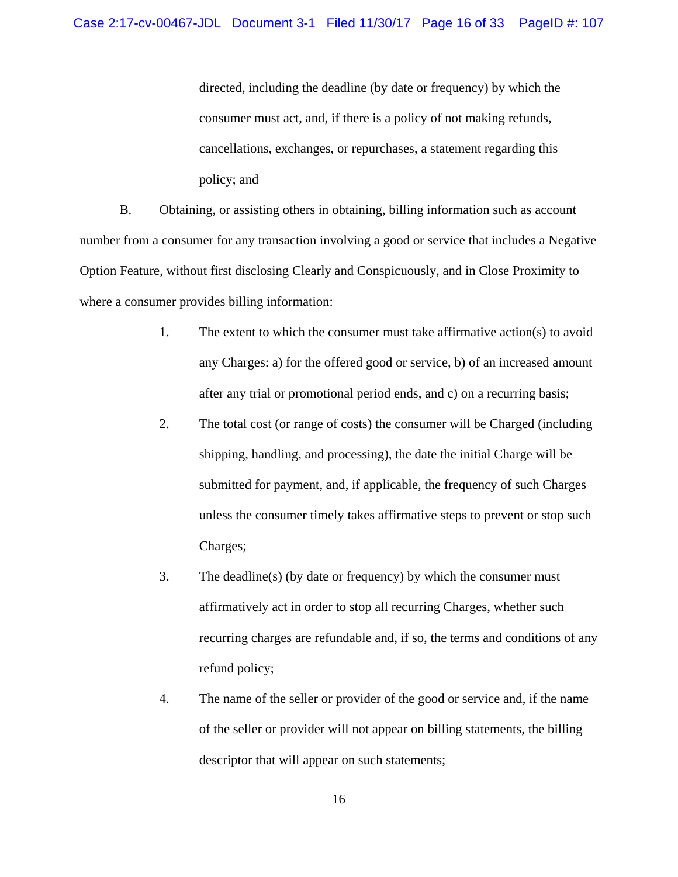directed, including the deadline (by date or frequency) by which the consumer must act, and, if there is a policy of not making refunds, cancellations, exchanges, or repurchases, a statement regarding this policy; and

B. Obtaining, or assisting others in obtaining, billing information such as account number from a consumer for any transaction involving a good or service that includes a Negative Option Feature, without first disclosing Clearly and Conspicuously, and in Close Proximity to where a consumer provides billing information:

- The extent to which the consumer must take affirmative action(s) to avoid 1. The extent to which the consumer must take affirmative action(s) to avoid any Charges: a) for the offered good or service, b) of an increased amount after any trial or promotional period ends, and c) on a recurring basis;
- 2. The total cost (or range of costs) the consumer will be Charged (including Charges; shipping, handling, and processing), the date the initial Charge will be submitted for payment, and, if applicable, the frequency of such Charges unless the consumer timely takes affirmative steps to prevent or stop such
	- 3. The deadline(s) (by date or frequency) by which the consumer must affirmatively act in order to stop all recurring Charges, whether such recurring charges are refundable and, if so, the terms and conditions of any refund policy;
	- 4. The name of the seller or provider of the good or service and, if the name of the seller or provider will not appear on billing statements, the billing descriptor that will appear on such statements;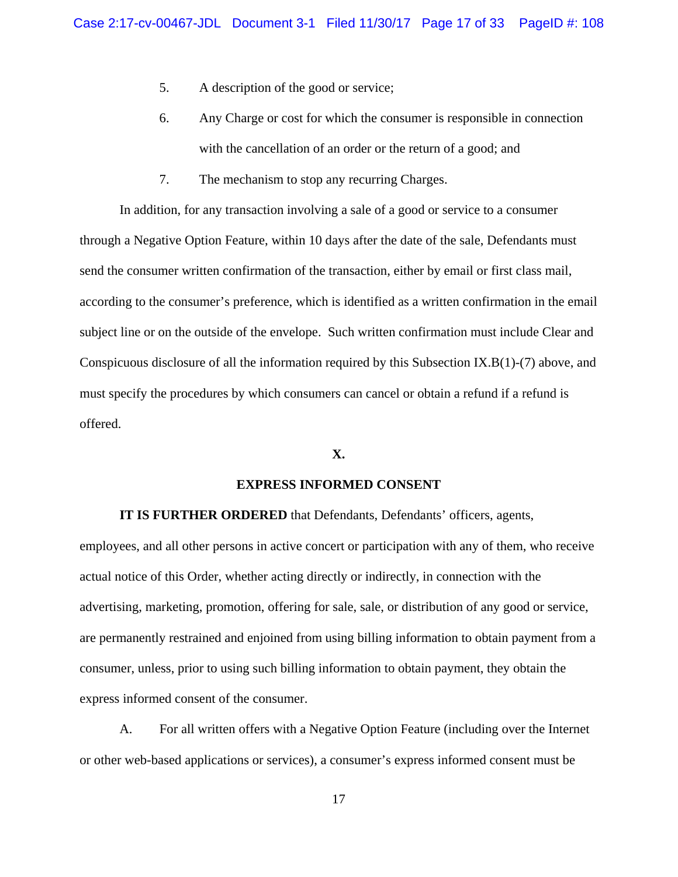- 5. A description of the good or service;
- 6. Any Charge or cost for which the consumer is responsible in connection with the cancellation of an order or the return of a good; and
- 7. The mechanism to stop any recurring Charges.

In addition, for any transaction involving a sale of a good or service to a consumer through a Negative Option Feature, within 10 days after the date of the sale, Defendants must send the consumer written confirmation of the transaction, either by email or first class mail, according to the consumer's preference, which is identified as a written confirmation in the email subject line or on the outside of the envelope. Such written confirmation must include Clear and Conspicuous disclosure of all the information required by this Subsection IX.B(1)-(7) above, and must specify the procedures by which consumers can cancel or obtain a refund if a refund is offered.

## **X.**

#### **EXPRESS INFORMED CONSENT**

**IT IS FURTHER ORDERED** that Defendants, Defendants' officers, agents,

employees, and all other persons in active concert or participation with any of them, who receive actual notice of this Order, whether acting directly or indirectly, in connection with the advertising, marketing, promotion, offering for sale, sale, or distribution of any good or service, are permanently restrained and enjoined from using billing information to obtain payment from a consumer, unless, prior to using such billing information to obtain payment, they obtain the express informed consent of the consumer.

A. For all written offers with a Negative Option Feature (including over the Internet or other web-based applications or services), a consumer's express informed consent must be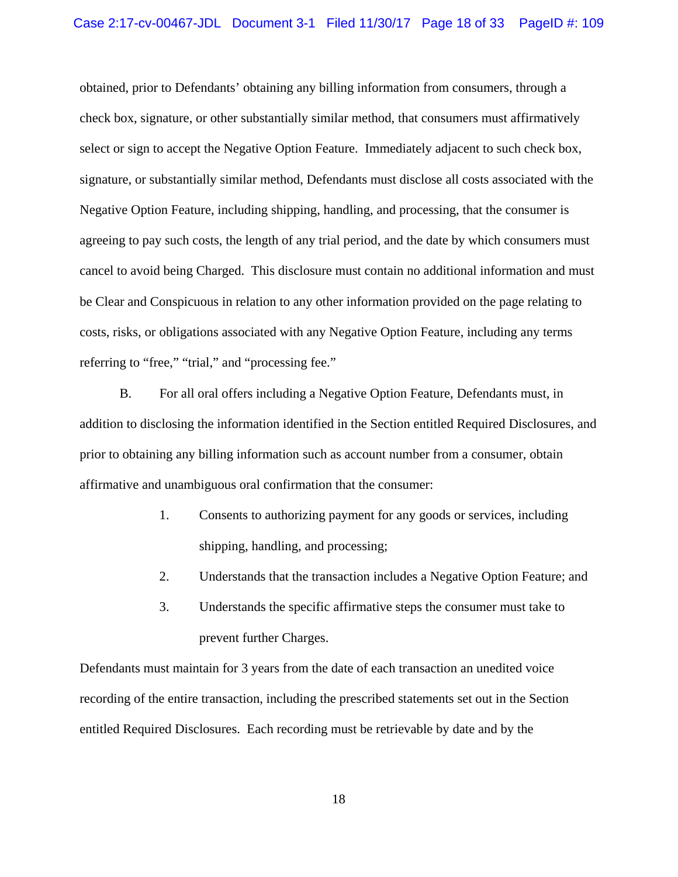obtained, prior to Defendants' obtaining any billing information from consumers, through a check box, signature, or other substantially similar method, that consumers must affirmatively select or sign to accept the Negative Option Feature. Immediately adjacent to such check box, signature, or substantially similar method, Defendants must disclose all costs associated with the Negative Option Feature, including shipping, handling, and processing, that the consumer is agreeing to pay such costs, the length of any trial period, and the date by which consumers must cancel to avoid being Charged. This disclosure must contain no additional information and must be Clear and Conspicuous in relation to any other information provided on the page relating to costs, risks, or obligations associated with any Negative Option Feature, including any terms referring to "free," "trial," and "processing fee."

B. For all oral offers including a Negative Option Feature, Defendants must, in addition to disclosing the information identified in the Section entitled Required Disclosures, and prior to obtaining any billing information such as account number from a consumer, obtain affirmative and unambiguous oral confirmation that the consumer:

- 1. Consents to authorizing payment for any goods or services, including shipping, handling, and processing;
- 2. Understands that the transaction includes a Negative Option Feature; and
- 3. Understands the specific affirmative steps the consumer must take to prevent further Charges.

Defendants must maintain for 3 years from the date of each transaction an unedited voice recording of the entire transaction, including the prescribed statements set out in the Section entitled Required Disclosures. Each recording must be retrievable by date and by the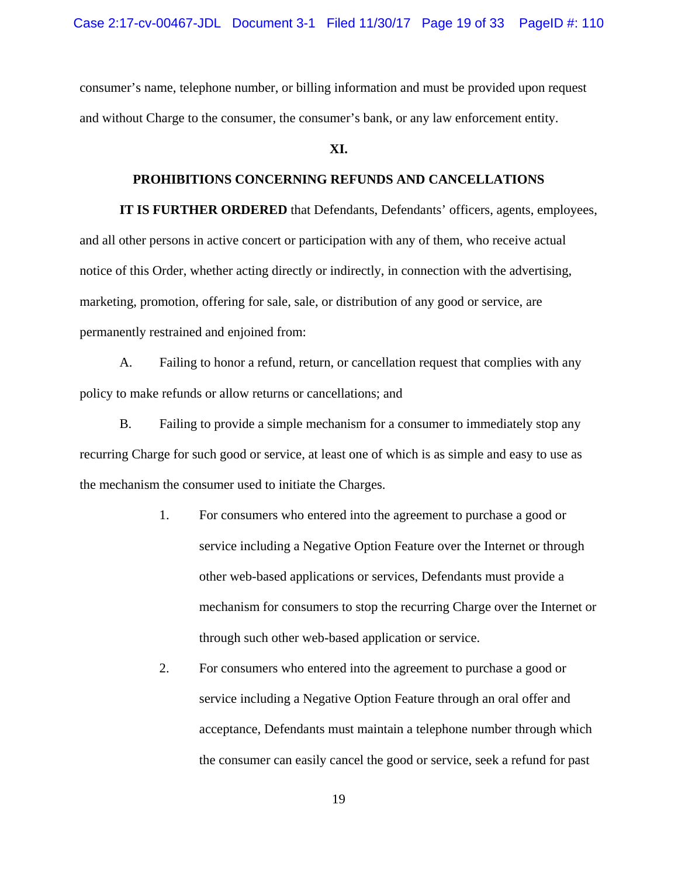consumer's name, telephone number, or billing information and must be provided upon request and without Charge to the consumer, the consumer's bank, or any law enforcement entity.

# **XI.**

## **PROHIBITIONS CONCERNING REFUNDS AND CANCELLATIONS**

**IT IS FURTHER ORDERED** that Defendants, Defendants' officers, agents, employees, and all other persons in active concert or participation with any of them, who receive actual notice of this Order, whether acting directly or indirectly, in connection with the advertising, marketing, promotion, offering for sale, sale, or distribution of any good or service, are permanently restrained and enjoined from:

A. Failing to honor a refund, return, or cancellation request that complies with any policy to make refunds or allow returns or cancellations; and

B. Failing to provide a simple mechanism for a consumer to immediately stop any recurring Charge for such good or service, at least one of which is as simple and easy to use as the mechanism the consumer used to initiate the Charges.

- 1. For consumers who entered into the agreement to purchase a good or service including a Negative Option Feature over the Internet or through other web-based applications or services, Defendants must provide a mechanism for consumers to stop the recurring Charge over the Internet or through such other web-based application or service.
- 2. For consumers who entered into the agreement to purchase a good or service including a Negative Option Feature through an oral offer and acceptance, Defendants must maintain a telephone number through which the consumer can easily cancel the good or service, seek a refund for past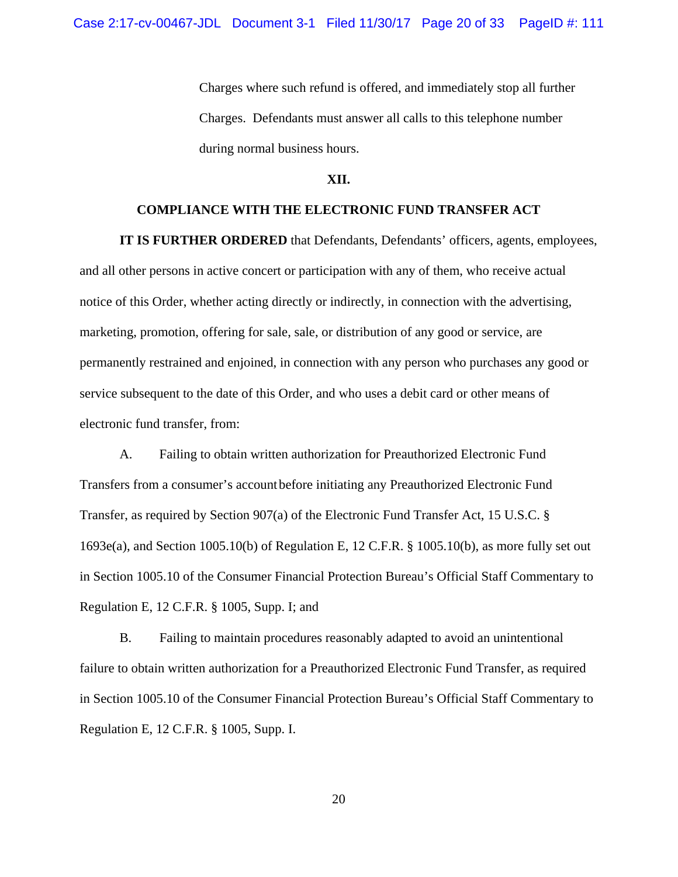Charges where such refund is offered, and immediately stop all further Charges. Defendants must answer all calls to this telephone number during normal business hours.

#### **XII.**

# **COMPLIANCE WITH THE ELECTRONIC FUND TRANSFER ACT**

**IT IS FURTHER ORDERED** that Defendants, Defendants' officers, agents, employees, and all other persons in active concert or participation with any of them, who receive actual notice of this Order, whether acting directly or indirectly, in connection with the advertising, marketing, promotion, offering for sale, sale, or distribution of any good or service, are permanently restrained and enjoined, in connection with any person who purchases any good or service subsequent to the date of this Order, and who uses a debit card or other means of electronic fund transfer, from:

A. Failing to obtain written authorization for Preauthorized Electronic Fund Transfers from a consumer's account before initiating any Preauthorized Electronic Fund Transfer, as required by Section 907(a) of the Electronic Fund Transfer Act, 15 U.S.C. § 1693e(a), and Section 1005.10(b) of Regulation E, 12 C.F.R. § 1005.10(b), as more fully set out in Section 1005.10 of the Consumer Financial Protection Bureau's Official Staff Commentary to Regulation E, 12 C.F.R. § 1005, Supp. I; and

B. Failing to maintain procedures reasonably adapted to avoid an unintentional failure to obtain written authorization for a Preauthorized Electronic Fund Transfer, as required in Section 1005.10 of the Consumer Financial Protection Bureau's Official Staff Commentary to Regulation E, 12 C.F.R. § 1005, Supp. I.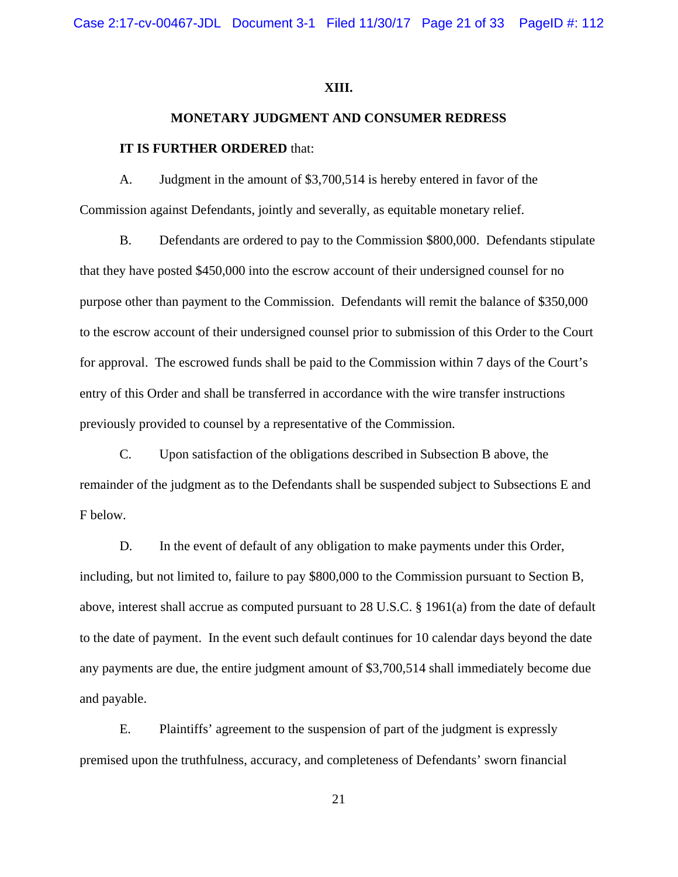Case 2:17-cv-00467-JDL Document 3-1 Filed 11/30/17 Page 21 of 33 PageID #: 112

#### **XIII.**

# **MONETARY JUDGMENT AND CONSUMER REDRESS IT IS FURTHER ORDERED** that:

A. Judgment in the amount of \$3,700,514 is hereby entered in favor of the Commission against Defendants, jointly and severally, as equitable monetary relief.

B. Defendants are ordered to pay to the Commission \$800,000. Defendants stipulate that they have posted \$450,000 into the escrow account of their undersigned counsel for no purpose other than payment to the Commission. Defendants will remit the balance of \$350,000 to the escrow account of their undersigned counsel prior to submission of this Order to the Court for approval. The escrowed funds shall be paid to the Commission within 7 days of the Court's entry of this Order and shall be transferred in accordance with the wire transfer instructions previously provided to counsel by a representative of the Commission.

C. Upon satisfaction of the obligations described in Subsection B above, the remainder of the judgment as to the Defendants shall be suspended subject to Subsections E and F below.

D. In the event of default of any obligation to make payments under this Order, including, but not limited to, failure to pay \$800,000 to the Commission pursuant to Section B, above, interest shall accrue as computed pursuant to 28 U.S.C. § 1961(a) from the date of default to the date of payment. In the event such default continues for 10 calendar days beyond the date any payments are due, the entire judgment amount of \$3,700,514 shall immediately become due and payable.

E. Plaintiffs' agreement to the suspension of part of the judgment is expressly premised upon the truthfulness, accuracy, and completeness of Defendants' sworn financial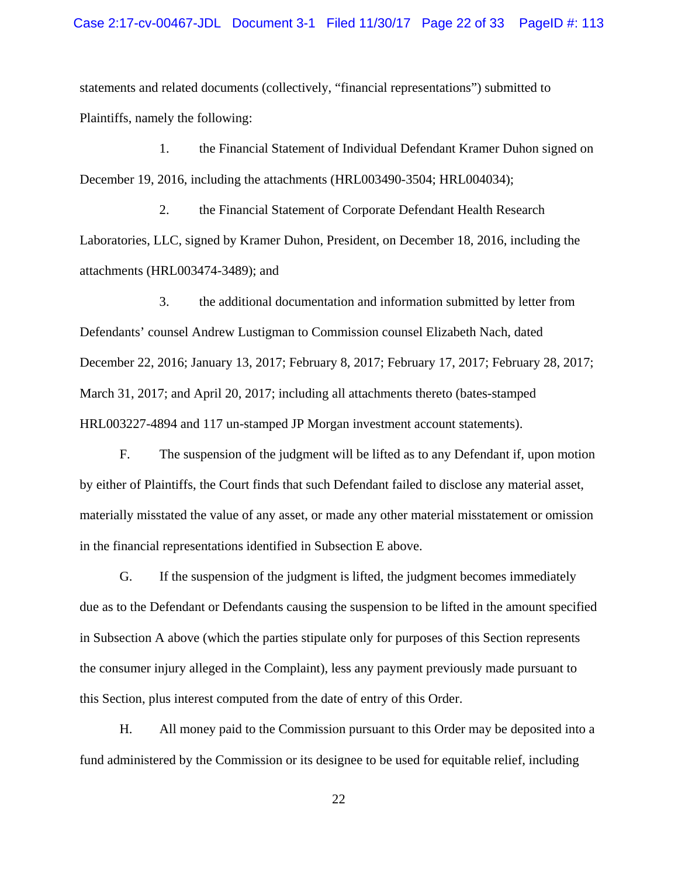statements and related documents (collectively, "financial representations") submitted to Plaintiffs, namely the following:

1. the Financial Statement of Individual Defendant Kramer Duhon signed on December 19, 2016, including the attachments (HRL003490-3504; HRL004034);

2. the Financial Statement of Corporate Defendant Health Research Laboratories, LLC, signed by Kramer Duhon, President, on December 18, 2016, including the attachments (HRL003474-3489); and

3. the additional documentation and information submitted by letter from Defendants' counsel Andrew Lustigman to Commission counsel Elizabeth Nach, dated December 22, 2016; January 13, 2017; February 8, 2017; February 17, 2017; February 28, 2017; March 31, 2017; and April 20, 2017; including all attachments thereto (bates-stamped HRL003227-4894 and 117 un-stamped JP Morgan investment account statements).

F. The suspension of the judgment will be lifted as to any Defendant if, upon motion by either of Plaintiffs, the Court finds that such Defendant failed to disclose any material asset, materially misstated the value of any asset, or made any other material misstatement or omission in the financial representations identified in Subsection E above.

G. If the suspension of the judgment is lifted, the judgment becomes immediately due as to the Defendant or Defendants causing the suspension to be lifted in the amount specified in Subsection A above (which the parties stipulate only for purposes of this Section represents the consumer injury alleged in the Complaint), less any payment previously made pursuant to this Section, plus interest computed from the date of entry of this Order.

H. All money paid to the Commission pursuant to this Order may be deposited into a fund administered by the Commission or its designee to be used for equitable relief, including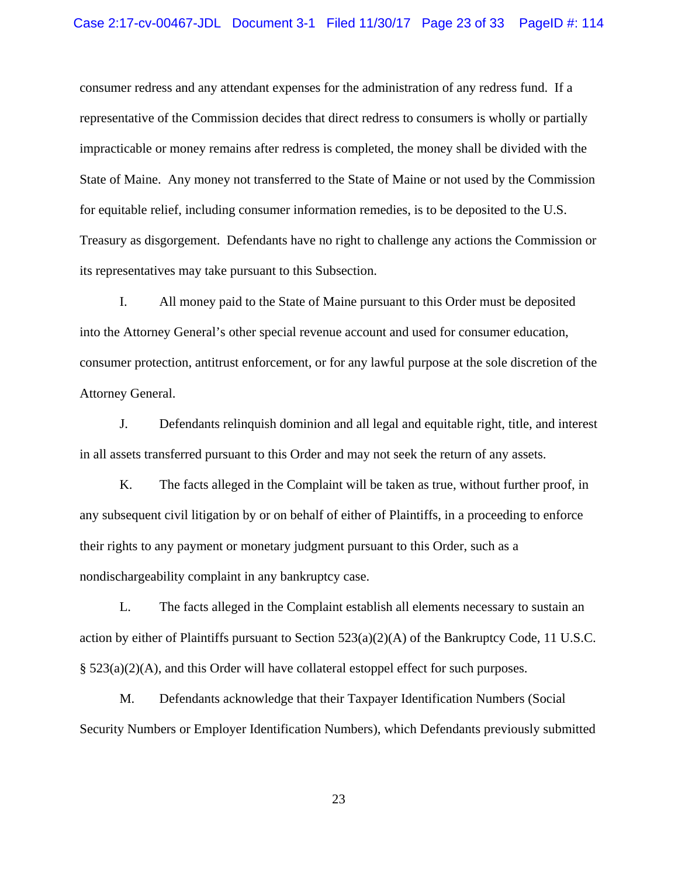consumer redress and any attendant expenses for the administration of any redress fund. If a representative of the Commission decides that direct redress to consumers is wholly or partially impracticable or money remains after redress is completed, the money shall be divided with the State of Maine. Any money not transferred to the State of Maine or not used by the Commission for equitable relief, including consumer information remedies, is to be deposited to the U.S. Treasury as disgorgement. Defendants have no right to challenge any actions the Commission or its representatives may take pursuant to this Subsection.

I. All money paid to the State of Maine pursuant to this Order must be deposited into the Attorney General's other special revenue account and used for consumer education, consumer protection, antitrust enforcement, or for any lawful purpose at the sole discretion of the Attorney General.

J. Defendants relinquish dominion and all legal and equitable right, title, and interest in all assets transferred pursuant to this Order and may not seek the return of any assets.

K. The facts alleged in the Complaint will be taken as true, without further proof, in any subsequent civil litigation by or on behalf of either of Plaintiffs, in a proceeding to enforce their rights to any payment or monetary judgment pursuant to this Order, such as a nondischargeability complaint in any bankruptcy case.

L. The facts alleged in the Complaint establish all elements necessary to sustain an action by either of Plaintiffs pursuant to Section  $523(a)(2)(A)$  of the Bankruptcy Code, 11 U.S.C. § 523(a)(2)(A), and this Order will have collateral estoppel effect for such purposes.

M. Defendants acknowledge that their Taxpayer Identification Numbers (Social Security Numbers or Employer Identification Numbers), which Defendants previously submitted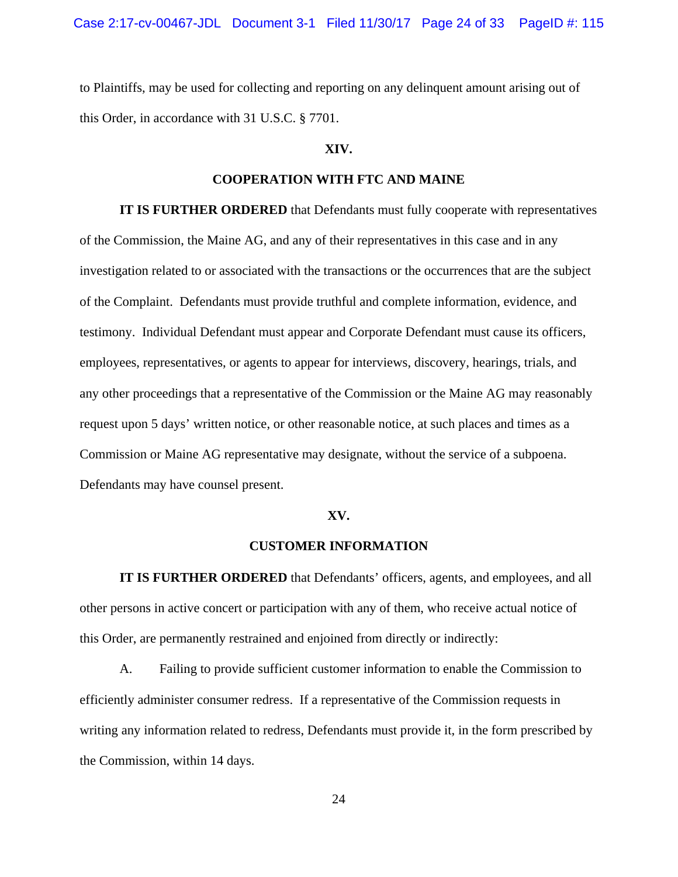to Plaintiffs, may be used for collecting and reporting on any delinquent amount arising out of this Order, in accordance with 31 U.S.C. § 7701.

# **XIV.**

## **COOPERATION WITH FTC AND MAINE**

**IT IS FURTHER ORDERED** that Defendants must fully cooperate with representatives of the Commission, the Maine AG, and any of their representatives in this case and in any investigation related to or associated with the transactions or the occurrences that are the subject of the Complaint. Defendants must provide truthful and complete information, evidence, and testimony. Individual Defendant must appear and Corporate Defendant must cause its officers, employees, representatives, or agents to appear for interviews, discovery, hearings, trials, and any other proceedings that a representative of the Commission or the Maine AG may reasonably request upon 5 days' written notice, or other reasonable notice, at such places and times as a Commission or Maine AG representative may designate, without the service of a subpoena. Defendants may have counsel present.

#### **XV.**

#### **CUSTOMER INFORMATION**

**IT IS FURTHER ORDERED** that Defendants' officers, agents, and employees, and all other persons in active concert or participation with any of them, who receive actual notice of this Order, are permanently restrained and enjoined from directly or indirectly:

A. Failing to provide sufficient customer information to enable the Commission to efficiently administer consumer redress. If a representative of the Commission requests in writing any information related to redress, Defendants must provide it, in the form prescribed by the Commission, within 14 days.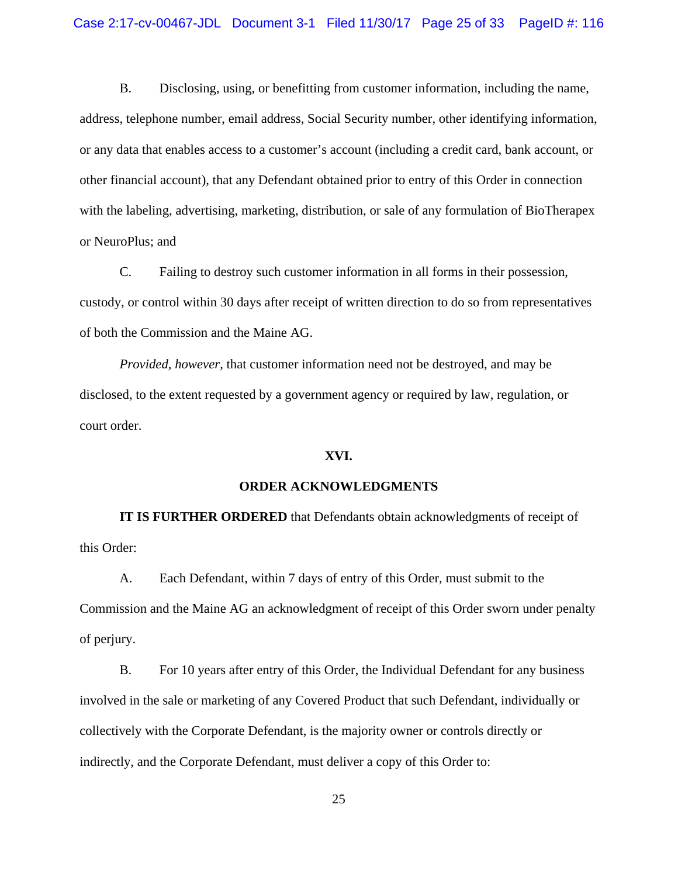B. Disclosing, using, or benefitting from customer information, including the name, address, telephone number, email address, Social Security number, other identifying information, or any data that enables access to a customer's account (including a credit card, bank account, or other financial account), that any Defendant obtained prior to entry of this Order in connection with the labeling, advertising, marketing, distribution, or sale of any formulation of BioTherapex or NeuroPlus; and

C. Failing to destroy such customer information in all forms in their possession, custody, or control within 30 days after receipt of written direction to do so from representatives of both the Commission and the Maine AG.

*Provided, however,* that customer information need not be destroyed, and may be disclosed, to the extent requested by a government agency or required by law, regulation, or court order.

#### **XVI.**

#### **ORDER ACKNOWLEDGMENTS**

**IT IS FURTHER ORDERED** that Defendants obtain acknowledgments of receipt of this Order:

A. Each Defendant, within 7 days of entry of this Order, must submit to the Commission and the Maine AG an acknowledgment of receipt of this Order sworn under penalty of perjury.

B. For 10 years after entry of this Order, the Individual Defendant for any business involved in the sale or marketing of any Covered Product that such Defendant, individually or collectively with the Corporate Defendant, is the majority owner or controls directly or indirectly, and the Corporate Defendant, must deliver a copy of this Order to: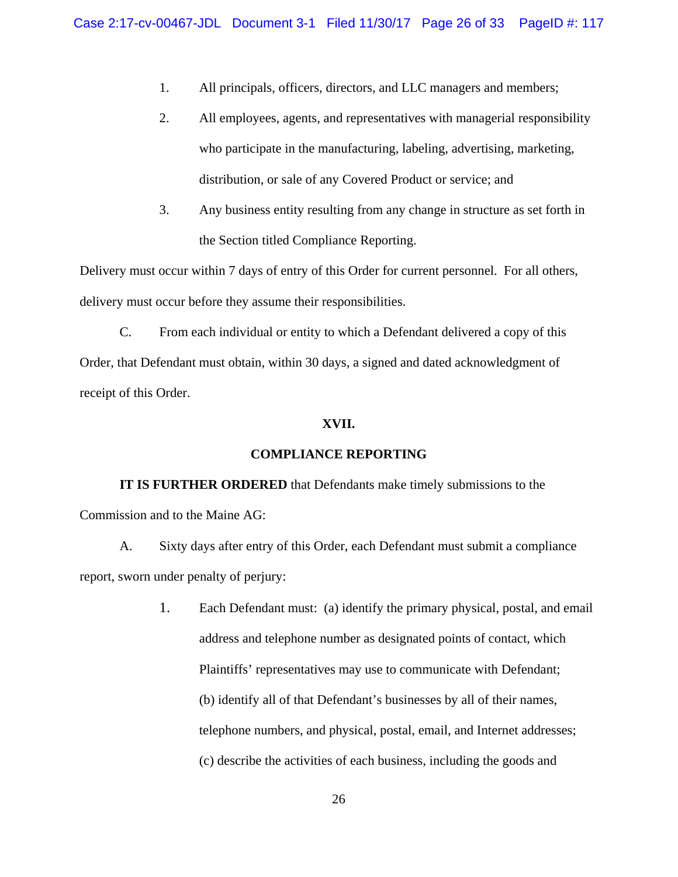- 1. All principals, officers, directors, and LLC managers and members;
- 2. All employees, agents, and representatives with managerial responsibility who participate in the manufacturing, labeling, advertising, marketing, distribution, or sale of any Covered Product or service; and
- 3. Any business entity resulting from any change in structure as set forth in the Section titled Compliance Reporting.

Delivery must occur within 7 days of entry of this Order for current personnel. For all others, delivery must occur before they assume their responsibilities.

C. From each individual or entity to which a Defendant delivered a copy of this Order, that Defendant must obtain, within 30 days, a signed and dated acknowledgment of receipt of this Order.

## **XVII.**

#### **COMPLIANCE REPORTING**

**IT IS FURTHER ORDERED** that Defendants make timely submissions to the Commission and to the Maine AG:

A. Sixty days after entry of this Order, each Defendant must submit a compliance report, sworn under penalty of perjury:

> 1. Each Defendant must: (a) identify the primary physical, postal, and email address and telephone number as designated points of contact, which Plaintiffs' representatives may use to communicate with Defendant; (b) identify all of that Defendant's businesses by all of their names, telephone numbers, and physical, postal, email, and Internet addresses; (c) describe the activities of each business, including the goods and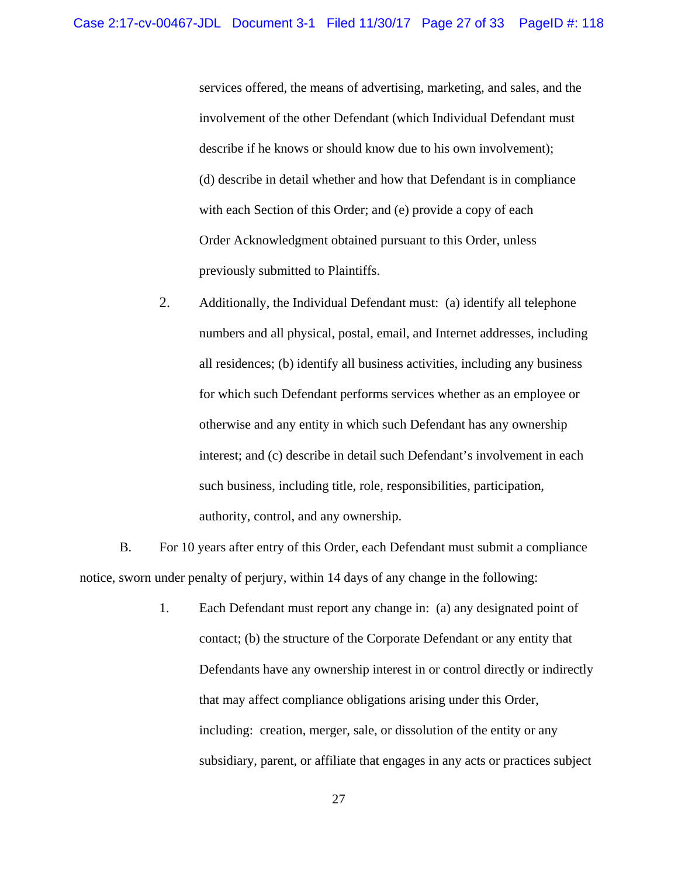services offered, the means of advertising, marketing, and sales, and the involvement of the other Defendant (which Individual Defendant must describe if he knows or should know due to his own involvement); (d) describe in detail whether and how that Defendant is in compliance with each Section of this Order; and (e) provide a copy of each Order Acknowledgment obtained pursuant to this Order, unless previously submitted to Plaintiffs.

2. Additionally, the Individual Defendant must: (a) identify all telephone numbers and all physical, postal, email, and Internet addresses, including all residences; (b) identify all business activities, including any business for which such Defendant performs services whether as an employee or otherwise and any entity in which such Defendant has any ownership interest; and (c) describe in detail such Defendant's involvement in each such business, including title, role, responsibilities, participation, authority, control, and any ownership.

B. For 10 years after entry of this Order, each Defendant must submit a compliance notice, sworn under penalty of perjury, within 14 days of any change in the following:

 Defendants have any ownership interest in or control directly or indirectly that may affect compliance obligations arising under this Order, 1. Each Defendant must report any change in: (a) any designated point of contact; (b) the structure of the Corporate Defendant or any entity that including: creation, merger, sale, or dissolution of the entity or any subsidiary, parent, or affiliate that engages in any acts or practices subject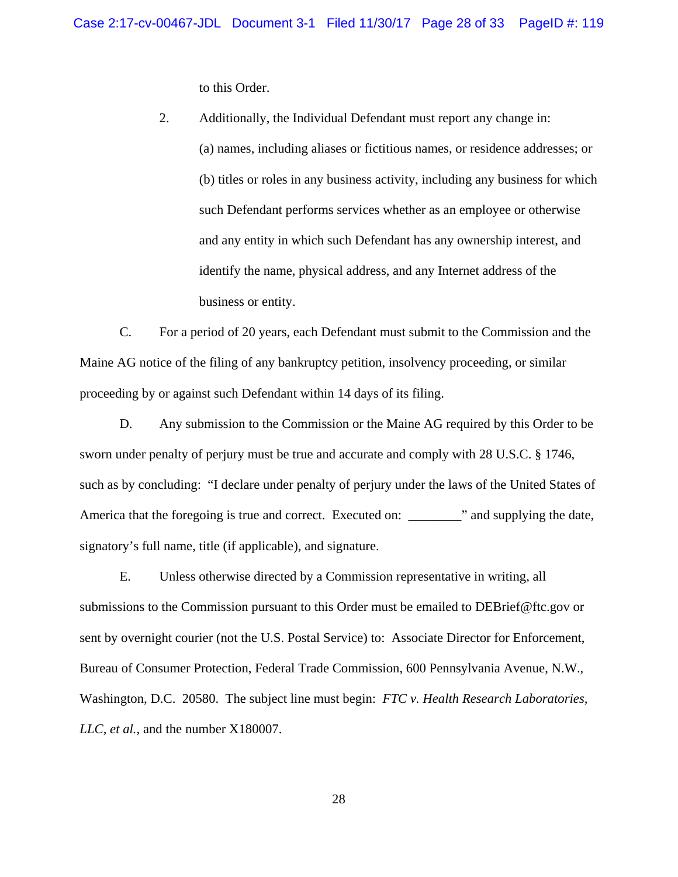to this Order.

 business or entity. 2. Additionally, the Individual Defendant must report any change in: (a) names, including aliases or fictitious names, or residence addresses; or (b) titles or roles in any business activity, including any business for which such Defendant performs services whether as an employee or otherwise and any entity in which such Defendant has any ownership interest, and identify the name, physical address, and any Internet address of the

C. For a period of 20 years, each Defendant must submit to the Commission and the Maine AG notice of the filing of any bankruptcy petition, insolvency proceeding, or similar proceeding by or against such Defendant within 14 days of its filing.

D. Any submission to the Commission or the Maine AG required by this Order to be sworn under penalty of perjury must be true and accurate and comply with 28 U.S.C. § 1746, such as by concluding: "I declare under penalty of perjury under the laws of the United States of America that the foregoing is true and correct. Executed on: \_\_\_\_\_\_\_\_" and supplying the date, signatory's full name, title (if applicable), and signature.

E. Unless otherwise directed by a Commission representative in writing, all submissions to the Commission pursuant to this Order must be emailed to DEBrief@ftc.gov or sent by overnight courier (not the U.S. Postal Service) to: Associate Director for Enforcement, Bureau of Consumer Protection, Federal Trade Commission, 600 Pennsylvania Avenue, N.W., Washington, D.C. 20580. The subject line must begin: *FTC v. Health Research Laboratories, LLC, et al.,* and the number X180007.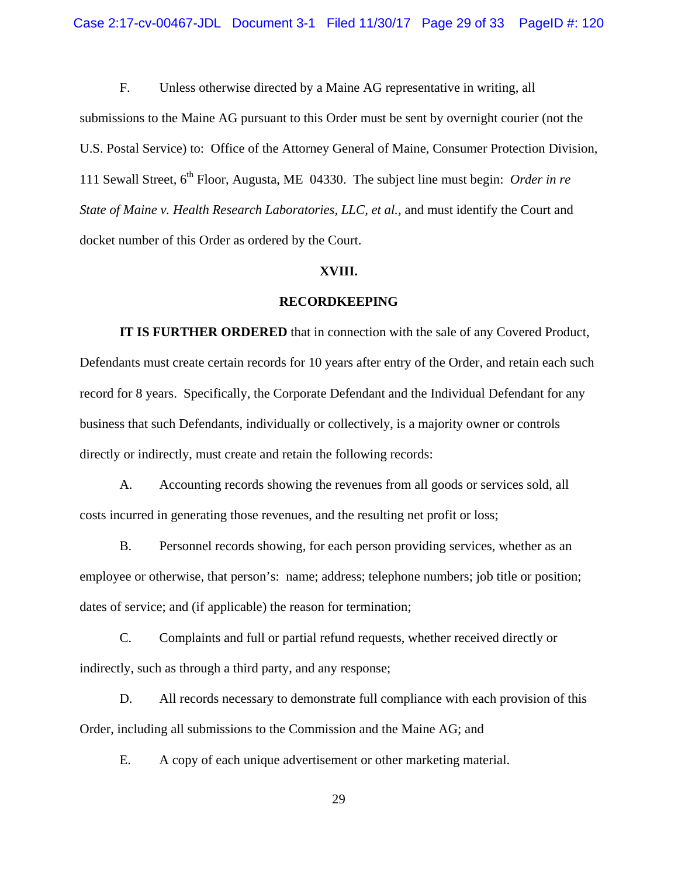F. Unless otherwise directed by a Maine AG representative in writing, all

submissions to the Maine AG pursuant to this Order must be sent by overnight courier (not the U.S. Postal Service) to: Office of the Attorney General of Maine, Consumer Protection Division, 111 Sewall Street, 6th Floor, Augusta, ME 04330. The subject line must begin: *Order in re State of Maine v. Health Research Laboratories, LLC, et al.,* and must identify the Court and docket number of this Order as ordered by the Court.

#### **XVIII.**

#### **RECORDKEEPING**

**IT IS FURTHER ORDERED** that in connection with the sale of any Covered Product, Defendants must create certain records for 10 years after entry of the Order, and retain each such record for 8 years. Specifically, the Corporate Defendant and the Individual Defendant for any business that such Defendants, individually or collectively, is a majority owner or controls directly or indirectly, must create and retain the following records:

A. Accounting records showing the revenues from all goods or services sold, all costs incurred in generating those revenues, and the resulting net profit or loss;

B. Personnel records showing, for each person providing services, whether as an employee or otherwise, that person's: name; address; telephone numbers; job title or position; dates of service; and (if applicable) the reason for termination;

C. Complaints and full or partial refund requests, whether received directly or indirectly, such as through a third party, and any response;

D. All records necessary to demonstrate full compliance with each provision of this Order, including all submissions to the Commission and the Maine AG; and

E. A copy of each unique advertisement or other marketing material.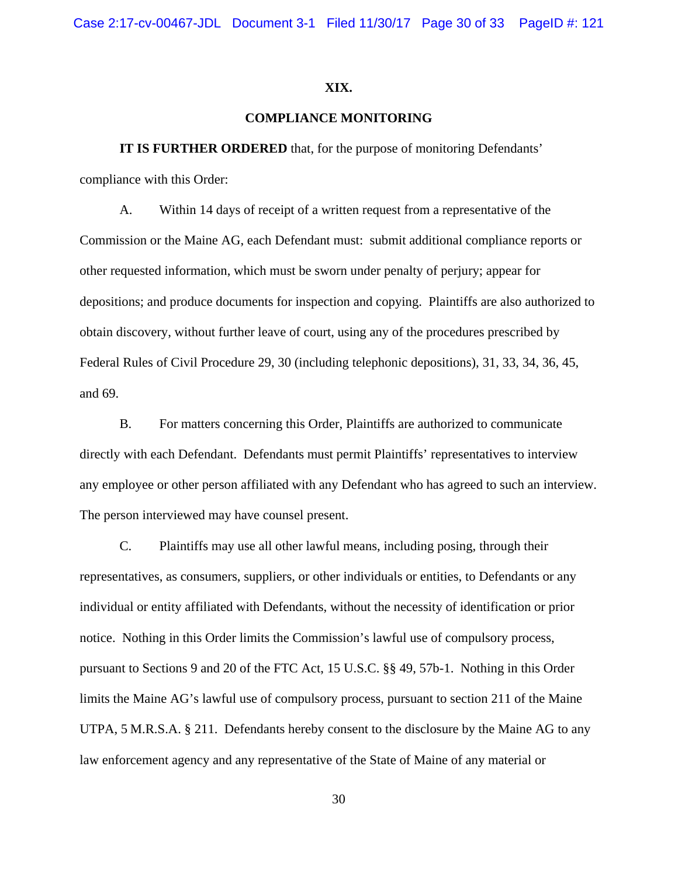#### **XIX.**

## **COMPLIANCE MONITORING**

**IT IS FURTHER ORDERED** that, for the purpose of monitoring Defendants' compliance with this Order:

A. Within 14 days of receipt of a written request from a representative of the Commission or the Maine AG, each Defendant must: submit additional compliance reports or other requested information, which must be sworn under penalty of perjury; appear for depositions; and produce documents for inspection and copying. Plaintiffs are also authorized to obtain discovery, without further leave of court, using any of the procedures prescribed by Federal Rules of Civil Procedure 29, 30 (including telephonic depositions), 31, 33, 34, 36, 45, and 69.

 any employee or other person affiliated with any Defendant who has agreed to such an interview. The person interviewed may have counsel present. B. For matters concerning this Order, Plaintiffs are authorized to communicate directly with each Defendant. Defendants must permit Plaintiffs' representatives to interview

C. Plaintiffs may use all other lawful means, including posing, through their representatives, as consumers, suppliers, or other individuals or entities, to Defendants or any individual or entity affiliated with Defendants, without the necessity of identification or prior notice. Nothing in this Order limits the Commission's lawful use of compulsory process, pursuant to Sections 9 and 20 of the FTC Act, 15 U.S.C. §§ 49, 57b-1. Nothing in this Order limits the Maine AG's lawful use of compulsory process, pursuant to section 211 of the Maine UTPA, 5 M.R.S.A. § 211. Defendants hereby consent to the disclosure by the Maine AG to any law enforcement agency and any representative of the State of Maine of any material or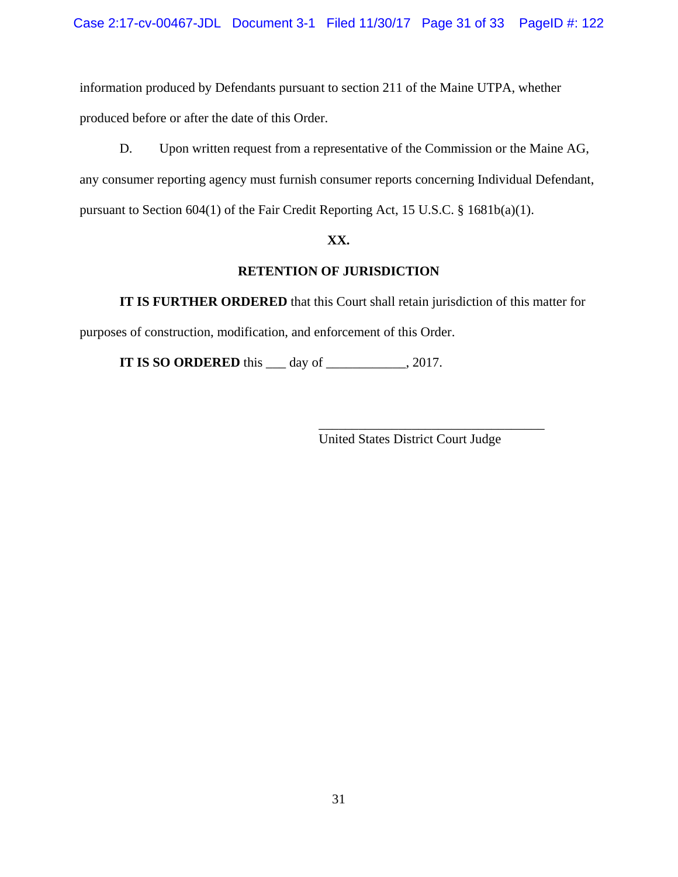information produced by Defendants pursuant to section 211 of the Maine UTPA, whether produced before or after the date of this Order.

D. Upon written request from a representative of the Commission or the Maine AG, any consumer reporting agency must furnish consumer reports concerning Individual Defendant, pursuant to Section 604(1) of the Fair Credit Reporting Act, 15 U.S.C. § 1681b(a)(1).

# **XX.**

# **RETENTION OF JURISDICTION**

**IT IS FURTHER ORDERED** that this Court shall retain jurisdiction of this matter for purposes of construction, modification, and enforcement of this Order.

**IT IS SO ORDERED** this \_\_\_ day of \_\_\_\_\_\_\_\_\_\_, 2017.

\_\_\_\_\_\_\_\_\_\_\_\_\_\_\_\_\_\_\_\_\_\_\_\_\_\_\_\_\_\_\_\_\_\_ United States District Court Judge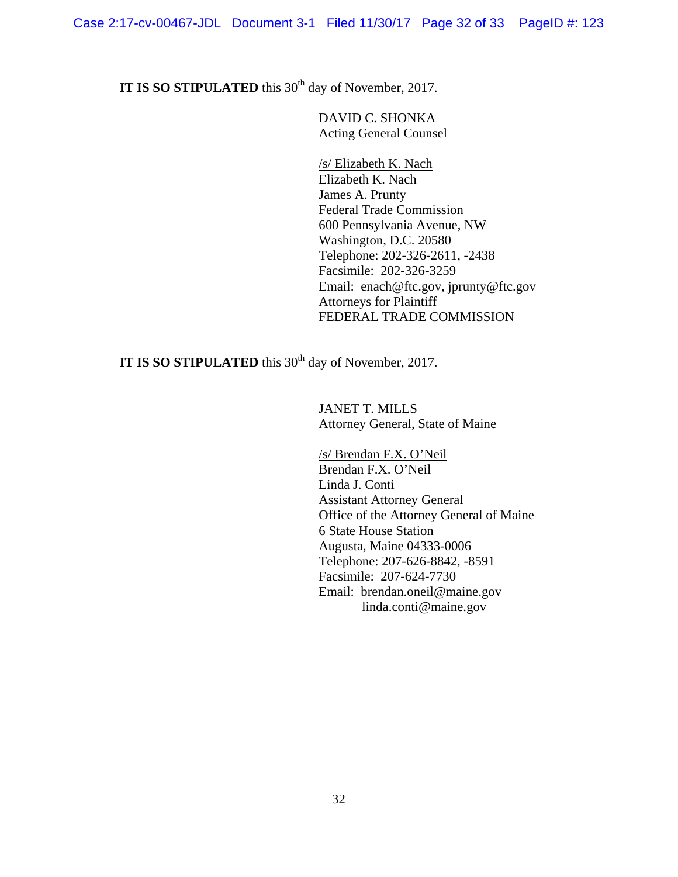**IT IS SO STIPULATED** this 30<sup>th</sup> day of November, 2017.

 DAVID C. SHONKA Acting General Counsel

 Federal Trade Commission /s/ Elizabeth K. Nach Elizabeth K. Nach James A. Prunty 600 Pennsylvania Avenue, NW Washington, D.C. 20580 Telephone: 202-326-2611, -2438 Facsimile: 202-326-3259 Email: enach@ftc.gov, jprunty@ftc.gov Attorneys for Plaintiff FEDERAL TRADE COMMISSION

**IT IS SO STIPULATED** this 30<sup>th</sup> day of November, 2017.

JANET T. MILLS Attorney General, State of Maine

 Brendan F.X. O'Neil Assistant Attorney General Facsimile: 207-624-7730 /s/ Brendan F.X. O'Neil Linda J. Conti Office of the Attorney General of Maine 6 State House Station Augusta, Maine 04333-0006 Telephone: 207-626-8842, -8591 Email: brendan.oneil@maine.gov linda.conti@maine.gov